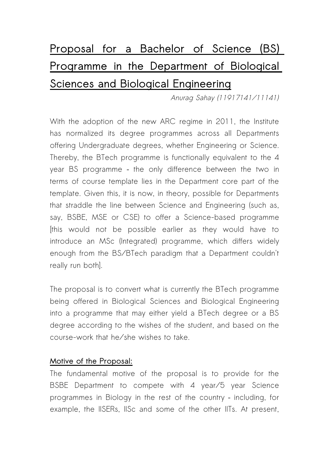# **Proposal for a Bachelor of Science (BS) Programme in the Department of Biological Sciences and Biological Engineering**

Anurag Sahay (11917141/11141)

With the adoption of the new ARC regime in 2011, the Institute has normalized its degree programmes across all Departments offering Undergraduate degrees, whether Engineering or Science. Thereby, the BTech programme is functionally equivalent to the 4 year BS programme – the only difference between the two in terms of course template lies in the Department core part of the template. Given this, it is now, in theory, possible for Departments that straddle the line between Science and Engineering (such as, say, BSBE, MSE or CSE) to offer a Science-based programme [this would not be possible earlier as they would have to introduce an MSc (Integrated) programme, which differs widely enough from the BS/BTech paradigm that a Department couldn't really run both].

The proposal is to convert what is currently the BTech programme being offered in Biological Sciences and Biological Engineering into a programme that may either yield a BTech degree or a BS degree according to the wishes of the student, and based on the course-work that he/she wishes to take.

### **Motive of the Proposal:**

The fundamental motive of the proposal is to provide for the BSBE Department to compete with 4 year/5 year Science programmes in Biology in the rest of the country – including, for example, the IISERs, IISc and some of the other IITs. At present,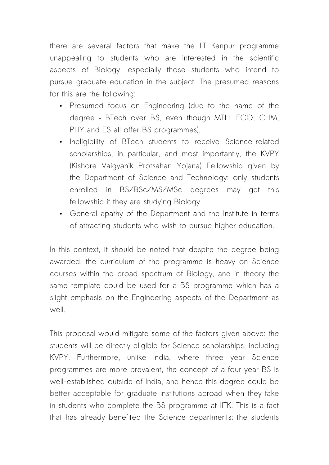there are several factors that make the IIT Kanpur programme unappealing to students who are interested in the scientific aspects of Biology, especially those students who intend to pursue graduate education in the subject. The presumed reasons for this are the following:

- Presumed focus on Engineering (due to the name of the degree – BTech over BS, even though MTH, ECO, CHM, PHY and ES all offer BS programmes).
- Ineligibility of BTech students to receive Science-related scholarships, in particular, and most importantly, the KVPY (Kishore Vaigyanik Protsahan Yojana) Fellowship given by the Department of Science and Technology: only students enrolled in BS/BSc/MS/MSc degrees may get this fellowship if they are studying Biology.
- General apathy of the Department and the Institute in terms of attracting students who wish to pursue higher education.

In this context, it should be noted that despite the degree being awarded, the curriculum of the programme is heavy on Science courses within the broad spectrum of Biology, and in theory the same template could be used for a BS programme which has a slight emphasis on the Engineering aspects of the Department as well.

This proposal would mitigate some of the factors given above: the students will be directly eligible for Science scholarships, including KVPY. Furthermore, unlike India, where three year Science programmes are more prevalent, the concept of a four year BS is well-established outside of India, and hence this degree could be better acceptable for graduate institutions abroad when they take in students who complete the BS programme at IITK. This is a fact that has already benefited the Science departments: the students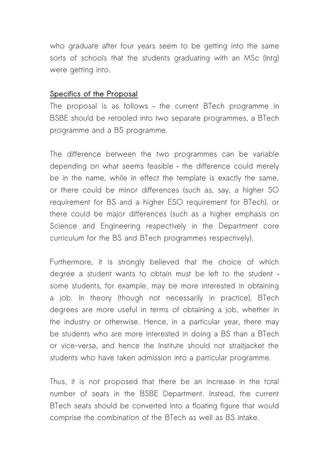who graduate after four years seem to be getting into the same sorts of schools that the students graduating with an MSc (Intg) were getting into.

#### **Specifics of the Proposal**

The proposal is as follows – the current BTech programme in BSBE should be retooled into two separate programmes, a BTech programme and a BS programme.

The difference between the two programmes can be variable depending on what seems feasible – the difference could merely be in the name, while in effect the template is exactly the same, or there could be minor differences (such as, say, a higher SO requirement for BS and a higher ESO requirement for BTech), or there could be major differences (such as a higher emphasis on Science and Engineering respectively in the Department core curriculum for the BS and BTech programmes respectively).

Furthermore, it is strongly believed that the choice of which degree a student wants to obtain must be left to the student – some students, for example, may be more interested in obtaining a job. In theory (though not necessarily in practice), BTech degrees are more useful in terms of obtaining a job, whether in the industry or otherwise. Hence, in a particular year, there may be students who are more interested in doing a BS than a BTech or vice-versa, and hence the Institute should not straitjacket the students who have taken admission into a particular programme.

Thus, it is not proposed that there be an increase in the total number of seats in the BSBE Department. Instead, the current BTech seats should be converted into a floating figure that would comprise the combination of the BTech as well as BS intake.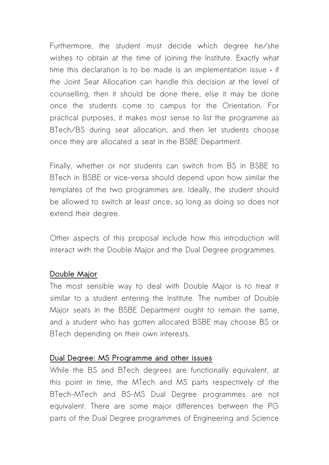Furthermore, the student must decide which degree he/she wishes to obtain at the time of joining the Institute. Exactly what time this declaration is to be made is an implementation issue – if the Joint Seat Allocation can handle this decision at the level of counselling, then it should be done there, else it may be done once the students come to campus for the Orientation. For practical purposes, it makes most sense to list the programme as BTech/BS during seat allocation, and then let students choose once they are allocated a seat in the BSBE Department.

Finally, whether or not students can switch from BS in BSBE to BTech in BSBE or vice-versa should depend upon how similar the templates of the two programmes are. Ideally, the student should be allowed to switch at least once, so long as doing so does not extend their degree.

Other aspects of this proposal include how this introduction will interact with the Double Major and the Dual Degree programmes.

### **Double Major**

The most sensible way to deal with Double Major is to treat it similar to a student entering the Institute. The number of Double Major seats in the BSBE Department ought to remain the same, and a student who has gotten allocated BSBE may choose BS or BTech depending on their own interests.

### **Dual Degree: MS Programme and other issues**

While the BS and BTech degrees are functionally equivalent, at this point in time, the MTech and MS parts respectively of the BTech-MTech and BS-MS Dual Degree programmes are not equivalent. There are some major differences between the PG parts of the Dual Degree programmes of Engineering and Science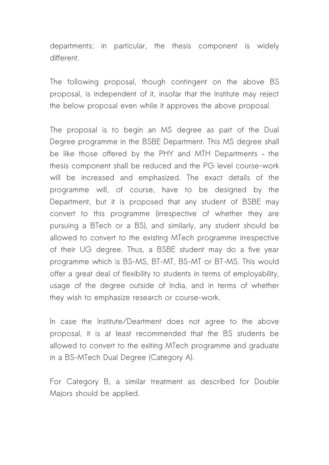departments; in particular, the thesis component is widely different.

The following proposal, though contingent on the above BS proposal, is independent of it, insofar that the Institute may reject the below proposal even while it approves the above proposal.

The proposal is to begin an MS degree as part of the Dual Degree programme in the BSBE Department. This MS degree shall be like those offered by the PHY and MTH Departments – the thesis component shall be reduced and the PG level course-work will be increased and emphasized. The exact details of the programme will, of course, have to be designed by the Department, but it is proposed that any student of BSBE may convert to this programme (irrespective of whether they are pursuing a BTech or a BS), and similarly, any student should be allowed to convert to the existing MTech programme irrespective of their UG degree. Thus, a BSBE student may do a five year programme which is BS-MS, BT-MT, BS-MT or BT-MS. This would offer a great deal of flexibility to students in terms of employability, usage of the degree outside of India, and in terms of whether they wish to emphasize research or course-work.

In case the Institute/Deartment does not agree to the above proposal, it is at least recommended that the BS students be allowed to convert to the exiting MTech programme and graduate in a BS-MTech Dual Degree (Category A).

For Category B, a similar treatment as described for Double Majors should be applied.